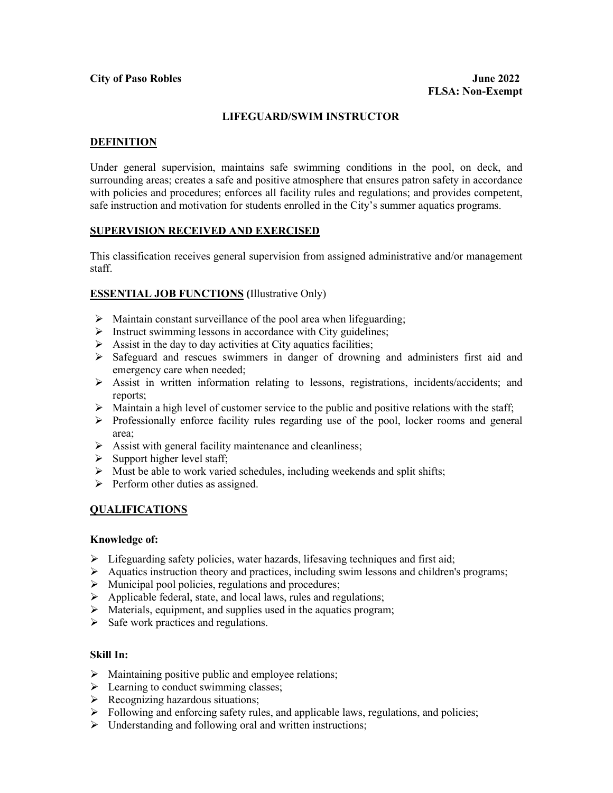# **LIFEGUARD/SWIM INSTRUCTOR**

### **DEFINITION**

Under general supervision, maintains safe swimming conditions in the pool, on deck, and surrounding areas; creates a safe and positive atmosphere that ensures patron safety in accordance with policies and procedures; enforces all facility rules and regulations; and provides competent, safe instruction and motivation for students enrolled in the City's summer aquatics programs.

## **SUPERVISION RECEIVED AND EXERCISED**

This classification receives general supervision from assigned administrative and/or management staff.

# **ESSENTIAL JOB FUNCTIONS (**Illustrative Only)

- $\triangleright$  Maintain constant surveillance of the pool area when lifeguarding;
- $\triangleright$  Instruct swimming lessons in accordance with City guidelines;
- $\triangleright$  Assist in the day to day activities at City aquatics facilities;
- $\triangleright$  Safeguard and rescues swimmers in danger of drowning and administers first aid and emergency care when needed;
- $\triangleright$  Assist in written information relating to lessons, registrations, incidents/accidents; and reports;
- $\triangleright$  Maintain a high level of customer service to the public and positive relations with the staff;
- $\triangleright$  Professionally enforce facility rules regarding use of the pool, locker rooms and general area;
- $\triangleright$  Assist with general facility maintenance and cleanliness;
- $\triangleright$  Support higher level staff;
- $\triangleright$  Must be able to work varied schedules, including weekends and split shifts;
- $\triangleright$  Perform other duties as assigned.

# **QUALIFICATIONS**

### **Knowledge of:**

- $\triangleright$  Lifeguarding safety policies, water hazards, lifesaving techniques and first aid;
- $\triangleright$  Aquatics instruction theory and practices, including swim lessons and children's programs;
- $\triangleright$  Municipal pool policies, regulations and procedures;
- $\triangleright$  Applicable federal, state, and local laws, rules and regulations;
- $\triangleright$  Materials, equipment, and supplies used in the aquatics program;
- $\triangleright$  Safe work practices and regulations.

### **Skill In:**

- $\triangleright$  Maintaining positive public and employee relations;
- $\triangleright$  Learning to conduct swimming classes;
- $\triangleright$  Recognizing hazardous situations;
- $\triangleright$  Following and enforcing safety rules, and applicable laws, regulations, and policies;
- $\triangleright$  Understanding and following oral and written instructions;